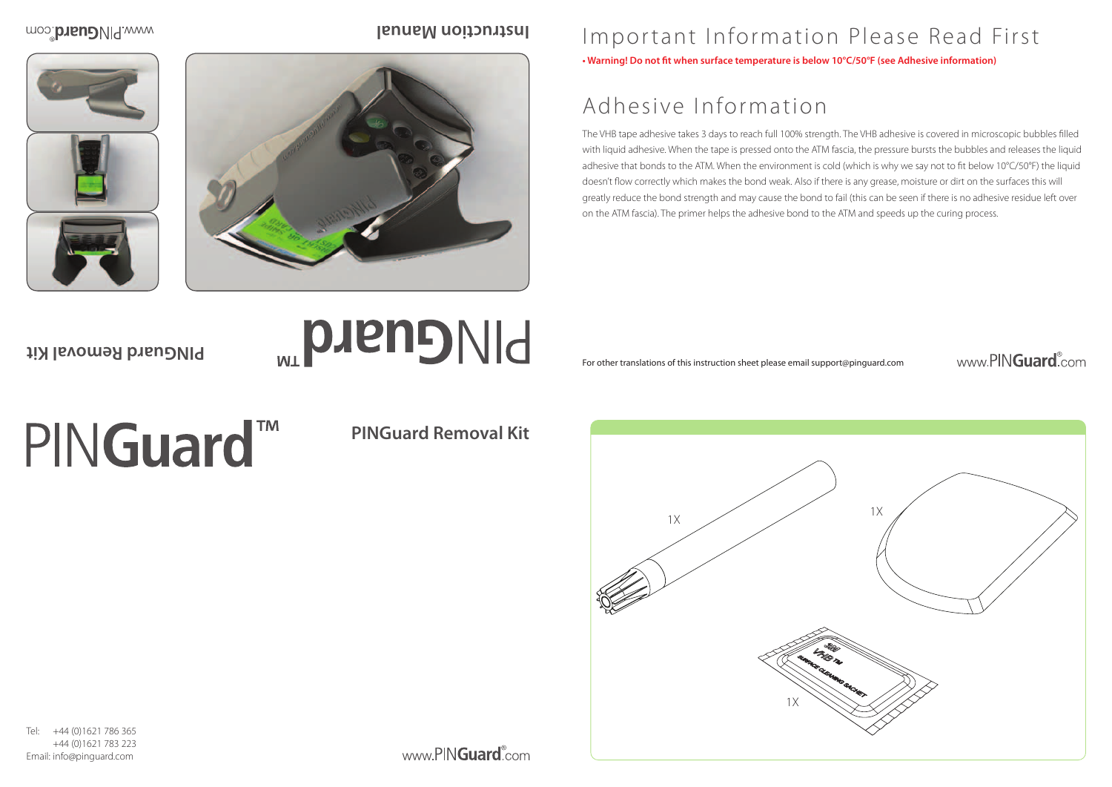





## Important Information Please Read First

#### www.PINGuard.com

**• Warning! Do not fit when surface temperature is below 10°C/50°F (see Adhesive information)**

# Adhesive Information

+44 (0)1621 786 365 +44 (0)1621 783 223 Email: info@pinguard.com

www.PINGuard.com

The VHB tape adhesive takes 3 days to reach full 100% strength. The VHB adhesive is covered in microscopic bubbles filled with liquid adhesive. When the tape is pressed onto the ATM fascia, the pressure bursts the bubbles and releases the liquid adhesive that bonds to the ATM. When the environment is cold (which is why we say not to fit below 10°C/50°F) the liquid doesn't flow correctly which makes the bond weak. Also if there is any grease, moisture or dirt on the surfaces this will greatly reduce the bond strength and may cause the bond to fail (this can be seen if there is no adhesive residue left over on the ATM fascia). The primer helps the adhesive bond to the ATM and speeds up the curing process.

For other translations of this instruction sheet please email support@pinguard.com

**PINGuard Removal Kit**

**PINGuard** 

moo.brandMq.www

**PINGuard Removal Kit**

# PINGuard™

#### **Instruction Manual**